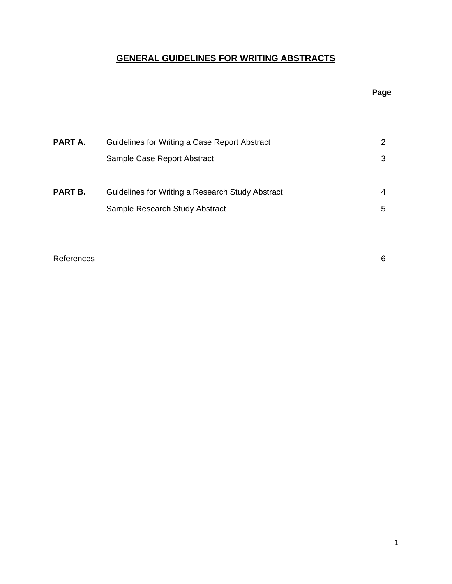# **GENERAL GUIDELINES FOR WRITING ABSTRACTS**

## **Page**

| PART A. | Guidelines for Writing a Case Report Abstract    | 2 |
|---------|--------------------------------------------------|---|
|         | Sample Case Report Abstract                      | 3 |
|         |                                                  |   |
| PART B. | Guidelines for Writing a Research Study Abstract | 4 |
|         | Sample Research Study Abstract                   | 5 |

References 6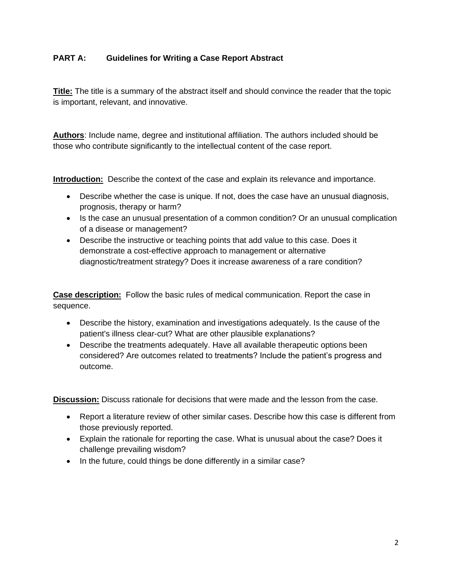## **PART A: Guidelines for Writing a Case Report Abstract**

**Title:** The title is a summary of the abstract itself and should convince the reader that the topic is important, relevant, and innovative.

**Authors**: Include name, degree and institutional affiliation. The authors included should be those who contribute significantly to the intellectual content of the case report.

**Introduction:** Describe the context of the case and explain its relevance and importance.

- Describe whether the case is unique. If not, does the case have an unusual diagnosis, prognosis, therapy or harm?
- Is the case an unusual presentation of a common condition? Or an unusual complication of a disease or management?
- Describe the instructive or teaching points that add value to this case. Does it demonstrate a cost-effective approach to management or alternative diagnostic/treatment strategy? Does it increase awareness of a rare condition?

**Case description:** Follow the basic rules of medical communication. Report the case in sequence.

- Describe the history, examination and investigations adequately. Is the cause of the patient's illness clear-cut? What are other plausible explanations?
- Describe the treatments adequately. Have all available therapeutic options been considered? Are outcomes related to treatments? Include the patient's progress and outcome.

**Discussion:** Discuss rationale for decisions that were made and the lesson from the case.

- Report a literature review of other similar cases. Describe how this case is different from those previously reported.
- Explain the rationale for reporting the case. What is unusual about the case? Does it challenge prevailing wisdom?
- In the future, could things be done differently in a similar case?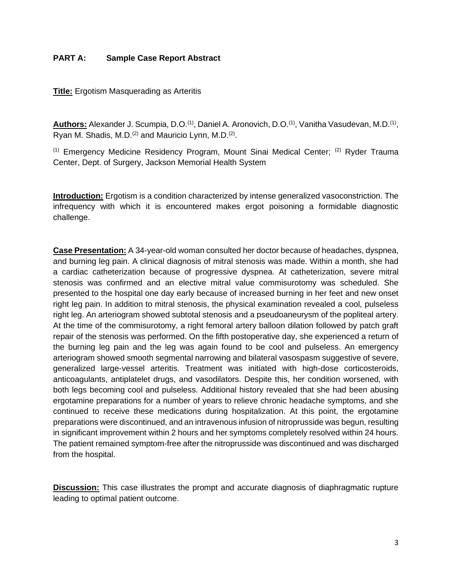#### **PART A: Sample Case Report Abstract**

**Title:** Ergotism Masquerading as Arteritis

Authors: Alexander J. Scumpia, D.O.<sup>(1)</sup>, Daniel A. Aronovich, D.O.<sup>(1)</sup>, Vanitha Vasudevan, M.D.<sup>(1)</sup>, Ryan M. Shadis, M.D. $(2)$  and Mauricio Lynn, M.D. $(2)$ .

(1) Emergency Medicine Residency Program, Mount Sinai Medical Center; (2) Ryder Trauma Center, Dept. of Surgery, Jackson Memorial Health System

**Introduction:** Ergotism is a condition characterized by intense generalized vasoconstriction. The infrequency with which it is encountered makes ergot poisoning a formidable diagnostic challenge.

**Case Presentation:** A 34-year-old woman consulted her doctor because of headaches, dyspnea, and burning leg pain. A clinical diagnosis of mitral stenosis was made. Within a month, she had a cardiac catheterization because of progressive dyspnea. At catheterization, severe mitral stenosis was confirmed and an elective mitral value commisurotomy was scheduled. She presented to the hospital one day early because of increased burning in her feet and new onset right leg pain. In addition to mitral stenosis, the physical examination revealed a cool, pulseless right leg. An arteriogram showed subtotal stenosis and a pseudoaneurysm of the popliteal artery. At the time of the commisurotomy, a right femoral artery balloon dilation followed by patch graft repair of the stenosis was performed. On the fifth postoperative day, she experienced a return of the burning leg pain and the leg was again found to be cool and pulseless. An emergency arteriogram showed smooth segmental narrowing and bilateral vasospasm suggestive of severe, generalized large-vessel arteritis. Treatment was initiated with high-dose corticosteroids, anticoagulants, antiplatelet drugs, and vasodilators. Despite this, her condition worsened, with both legs becoming cool and pulseless. Additional history revealed that she had been abusing ergotamine preparations for a number of years to relieve chronic headache symptoms, and she continued to receive these medications during hospitalization. At this point, the ergotamine preparations were discontinued, and an intravenous infusion of nitroprusside was begun, resulting in significant improvement within 2 hours and her symptoms completely resolved within 24 hours. The patient remained symptom-free after the nitroprusside was discontinued and was discharged from the hospital.

**Discussion:** This case illustrates the prompt and accurate diagnosis of diaphragmatic rupture leading to optimal patient outcome.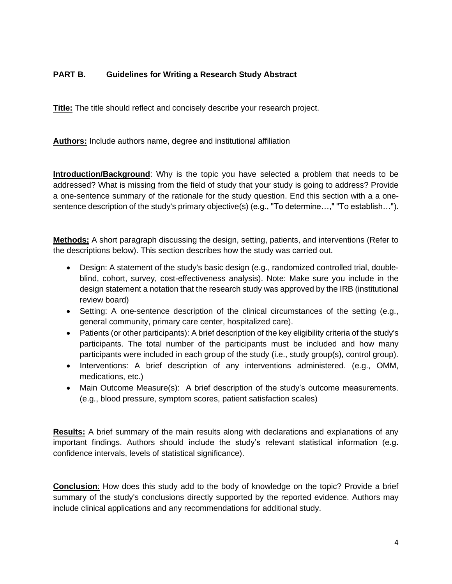## **PART B. Guidelines for Writing a Research Study Abstract**

**Title:** The title should reflect and concisely describe your research project.

**Authors:** Include authors name, degree and institutional affiliation

**Introduction/Background**: Why is the topic you have selected a problem that needs to be addressed? What is missing from the field of study that your study is going to address? Provide a one-sentence summary of the rationale for the study question. End this section with a a onesentence description of the study's primary objective(s) (e.g., "To determine…," "To establish…").

**Methods:** A short paragraph discussing the design, setting, patients, and interventions (Refer to the descriptions below). This section describes how the study was carried out.

- Design: A statement of the study's basic design (e.g., randomized controlled trial, doubleblind, cohort, survey, cost-effectiveness analysis). Note: Make sure you include in the design statement a notation that the research study was approved by the IRB (institutional review board)
- Setting: A one-sentence description of the clinical circumstances of the setting (e.g., general community, primary care center, hospitalized care).
- Patients (or other participants): A brief description of the key eligibility criteria of the study's participants. The total number of the participants must be included and how many participants were included in each group of the study (i.e., study group(s), control group).
- Interventions: A brief description of any interventions administered. (e.g., OMM, medications, etc.)
- Main Outcome Measure(s): A brief description of the study's outcome measurements. (e.g., blood pressure, symptom scores, patient satisfaction scales)

**Results:** A brief summary of the main results along with declarations and explanations of any important findings. Authors should include the study's relevant statistical information (e.g. confidence intervals, levels of statistical significance).

**Conclusion**: How does this study add to the body of knowledge on the topic? Provide a brief summary of the study's conclusions directly supported by the reported evidence. Authors may include clinical applications and any recommendations for additional study.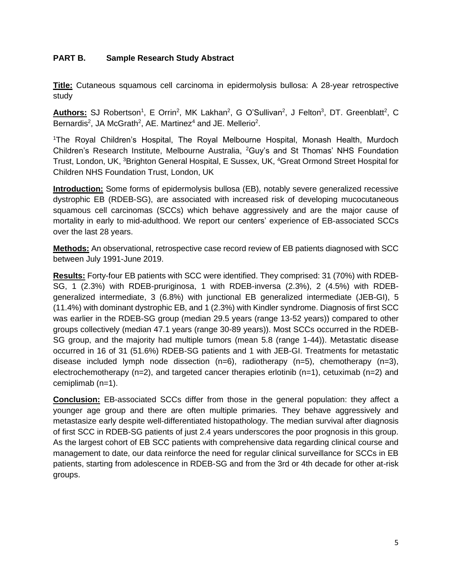## **PART B. Sample Research Study Abstract**

**Title:** Cutaneous squamous cell carcinoma in epidermolysis bullosa: A 28-year retrospective study

Authors: SJ Robertson<sup>1</sup>, E Orrin<sup>2</sup>, MK Lakhan<sup>2</sup>, G O'Sullivan<sup>2</sup>, J Felton<sup>3</sup>, DT. Greenblatt<sup>2</sup>, C Bernardis<sup>2</sup>, JA McGrath<sup>2</sup>, AE. Martinez<sup>4</sup> and JE. Mellerio<sup>2</sup>.

<sup>1</sup>The Royal Children's Hospital, The Royal Melbourne Hospital, Monash Health, Murdoch Children's Research Institute, Melbourne Australia, <sup>2</sup>Guy's and St Thomas' NHS Foundation Trust, London, UK, <sup>3</sup>Brighton General Hospital, E Sussex, UK, <sup>4</sup>Great Ormond Street Hospital for Children NHS Foundation Trust, London, UK

**Introduction:** Some forms of epidermolysis bullosa (EB), notably severe generalized recessive dystrophic EB (RDEB-SG), are associated with increased risk of developing mucocutaneous squamous cell carcinomas (SCCs) which behave aggressively and are the major cause of mortality in early to mid-adulthood. We report our centers' experience of EB-associated SCCs over the last 28 years.

**Methods:** An observational, retrospective case record review of EB patients diagnosed with SCC between July 1991-June 2019.

**Results:** Forty-four EB patients with SCC were identified. They comprised: 31 (70%) with RDEB-SG, 1 (2.3%) with RDEB-pruriginosa, 1 with RDEB-inversa (2.3%), 2 (4.5%) with RDEBgeneralized intermediate, 3 (6.8%) with junctional EB generalized intermediate (JEB-GI), 5 (11.4%) with dominant dystrophic EB, and 1 (2.3%) with Kindler syndrome. Diagnosis of first SCC was earlier in the RDEB-SG group (median 29.5 years (range 13-52 years)) compared to other groups collectively (median 47.1 years (range 30-89 years)). Most SCCs occurred in the RDEB-SG group, and the majority had multiple tumors (mean 5.8 (range 1-44)). Metastatic disease occurred in 16 of 31 (51.6%) RDEB-SG patients and 1 with JEB-GI. Treatments for metastatic disease included lymph node dissection (n=6), radiotherapy (n=5), chemotherapy (n=3), electrochemotherapy ( $n=2$ ), and targeted cancer therapies erlotinib ( $n=1$ ), cetuximab ( $n=2$ ) and cemiplimab (n=1).

**Conclusion:** EB-associated SCCs differ from those in the general population: they affect a younger age group and there are often multiple primaries. They behave aggressively and metastasize early despite well-differentiated histopathology. The median survival after diagnosis of first SCC in RDEB-SG patients of just 2.4 years underscores the poor prognosis in this group. As the largest cohort of EB SCC patients with comprehensive data regarding clinical course and management to date, our data reinforce the need for regular clinical surveillance for SCCs in EB patients, starting from adolescence in RDEB-SG and from the 3rd or 4th decade for other at-risk groups.